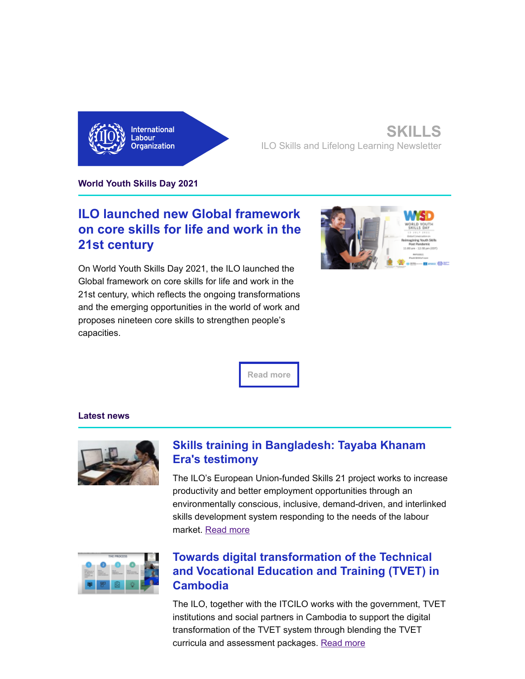

#### **SKILLS** ILO Skills and Lifelong Learning Newsletter

**World Youth Skills Day 2021**

# **ILO launched new Global framework [on core skills for life and work in the](https://eur01.safelinks.protection.outlook.com/?url=http%3A%2F%2Filo.msgfocus.com%2Fc%2F130gfE78swKLAPyelueEGMQ&data=04%7C01%7Cettorre%40iloguest.org%7C8d1ec38c0276483ffb8908d9526ce345%7Cd49b07ca23024e7cb2cbe12127852850%7C0%7C0%7C637631449682067560%7CUnknown%7CTWFpbGZsb3d8eyJWIjoiMC4wLjAwMDAiLCJQIjoiV2luMzIiLCJBTiI6Ik1haWwiLCJXVCI6Mn0%3D%7C1000&sdata=kZUW8mq3KlK7hfQtuF%2BjyLUlP6bCdMhSEkoc1wE4xNY%3D&reserved=0) 21st century**

On World Youth Skills Day 2021, the ILO launched the Global framework on core skills for life and work in the 21st century, which reflects the ongoing transformations and the emerging opportunities in the world of work and proposes nineteen core skills to strengthen people's capacities.



**[Read more](https://eur01.safelinks.protection.outlook.com/?url=http%3A%2F%2Filo.msgfocus.com%2Fc%2F130gfK1a9C2P6Hp5wivNXOR&data=04%7C01%7Cettorre%40iloguest.org%7C8d1ec38c0276483ffb8908d9526ce345%7Cd49b07ca23024e7cb2cbe12127852850%7C0%7C0%7C637631449682077556%7CUnknown%7CTWFpbGZsb3d8eyJWIjoiMC4wLjAwMDAiLCJQIjoiV2luMzIiLCJBTiI6Ik1haWwiLCJXVCI6Mn0%3D%7C1000&sdata=wv1MwlY%2BJO%2BD89THxAJs7C%2B1zvebyKXIAzMuzP6DGIY%3D&reserved=0)**

#### **Latest news**



## **[Skills training in Bangladesh: Tayaba Khanam](https://eur01.safelinks.protection.outlook.com/?url=http%3A%2F%2Filo.msgfocus.com%2Fc%2F130gfVPdxMCW8r6NRV46vST&data=04%7C01%7Cettorre%40iloguest.org%7C8d1ec38c0276483ffb8908d9526ce345%7Cd49b07ca23024e7cb2cbe12127852850%7C0%7C0%7C637631449682087543%7CUnknown%7CTWFpbGZsb3d8eyJWIjoiMC4wLjAwMDAiLCJQIjoiV2luMzIiLCJBTiI6Ik1haWwiLCJXVCI6Mn0%3D%7C1000&sdata=9rcKPRyJymamhngxUHUMTNVGeddKIKMU%2BT7IWh2ogrI%3D&reserved=0) Era's testimony**

The ILO's European Union-funded Skills 21 project works to increase productivity and better employment opportunities through an environmentally conscious, inclusive, demand-driven, and interlinked skills development system responding to the needs of the labour market. [Read more](https://eur01.safelinks.protection.outlook.com/?url=http%3A%2F%2Filo.msgfocus.com%2Fc%2F130gg1JfeRUZEiXF2JlfMUU&data=04%7C01%7Cettorre%40iloguest.org%7C8d1ec38c0276483ffb8908d9526ce345%7Cd49b07ca23024e7cb2cbe12127852850%7C0%7C0%7C637631449682087543%7CUnknown%7CTWFpbGZsb3d8eyJWIjoiMC4wLjAwMDAiLCJQIjoiV2luMzIiLCJBTiI6Ik1haWwiLCJXVCI6Mn0%3D%7C1000&sdata=sF6fiyHep2Gw3ZK6qe4JHAPdMAaQxG9KMTR42zuow6Y%3D&reserved=0)



## **Towards digital transformation of the Technical [and Vocational Education and Training \(TVET\) in](https://eur01.safelinks.protection.outlook.com/?url=http%3A%2F%2Filo.msgfocus.com%2Fc%2F130ggdxiD2v6G2FnolTykYW&data=04%7C01%7Cettorre%40iloguest.org%7C8d1ec38c0276483ffb8908d9526ce345%7Cd49b07ca23024e7cb2cbe12127852850%7C0%7C0%7C637631449682107534%7CUnknown%7CTWFpbGZsb3d8eyJWIjoiMC4wLjAwMDAiLCJQIjoiV2luMzIiLCJBTiI6Ik1haWwiLCJXVCI6Mn0%3D%7C1000&sdata=QOtMqjYCz%2BZ0lFEwH7OwbSoxee8lKAoV53rpOfVR1V8%3D&reserved=0) Cambodia**

The ILO, together with the ITCILO works with the government, TVET institutions and social partners in Cambodia to support the digital transformation of the TVET system through blending the TVET curricula and assessment packages. [Read more](https://eur01.safelinks.protection.outlook.com/?url=http%3A%2F%2Filo.msgfocus.com%2Fc%2F130ggplm1d5dHMn5JYrQT2Y&data=04%7C01%7Cettorre%40iloguest.org%7C8d1ec38c0276483ffb8908d9526ce345%7Cd49b07ca23024e7cb2cbe12127852850%7C0%7C0%7C637631449682117532%7CUnknown%7CTWFpbGZsb3d8eyJWIjoiMC4wLjAwMDAiLCJQIjoiV2luMzIiLCJBTiI6Ik1haWwiLCJXVCI6Mn0%3D%7C1000&sdata=gK5mzEcxf7mnhVWFbI8jh2M2UphRhS6%2F1q4ly%2B1n4tU%3D&reserved=0)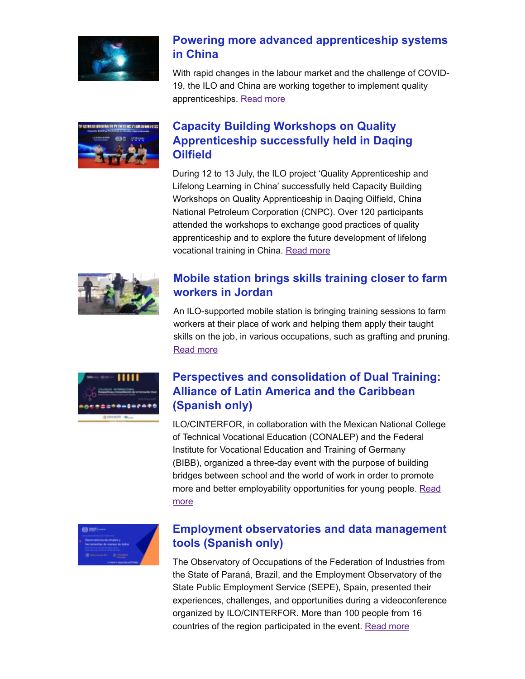

## **[Powering more advanced apprenticeship systems](https://eur01.safelinks.protection.outlook.com/?url=http%3A%2F%2Filo.msgfocus.com%2Fc%2F130ggB9ppnFkJw4O5B09r70&data=04%7C01%7Cettorre%40iloguest.org%7C8d1ec38c0276483ffb8908d9526ce345%7Cd49b07ca23024e7cb2cbe12127852850%7C0%7C0%7C637631449682127525%7CUnknown%7CTWFpbGZsb3d8eyJWIjoiMC4wLjAwMDAiLCJQIjoiV2luMzIiLCJBTiI6Ik1haWwiLCJXVCI6Mn0%3D%7C1000&sdata=5dUJ8Af7S%2BMtVPej%2BU03IawFRheFqeWTUBsW12XDD0E%3D&reserved=0) in China**

With rapid changes in the labour market and the challenge of COVID-19, the ILO and China are working together to implement quality apprenticeships. [Read more](https://eur01.safelinks.protection.outlook.com/?url=http%3A%2F%2Filo.msgfocus.com%2Fc%2F130ggH3r6sXofnVFgphiI91&data=04%7C01%7Cettorre%40iloguest.org%7C8d1ec38c0276483ffb8908d9526ce345%7Cd49b07ca23024e7cb2cbe12127852850%7C0%7C0%7C637631449682137521%7CUnknown%7CTWFpbGZsb3d8eyJWIjoiMC4wLjAwMDAiLCJQIjoiV2luMzIiLCJBTiI6Ik1haWwiLCJXVCI6Mn0%3D%7C1000&sdata=0MTqPL2AoaxSrnu%2BmHTtdp%2B10znrmGKfQWAWOf9cTBc%3D&reserved=0)



# **Capacity Building Workshops on Quality [Apprenticeship successfully held in Daqing](https://eur01.safelinks.protection.outlook.com/?url=http%3A%2F%2Filo.msgfocus.com%2Fc%2F130ggSRuuDxvh7DnC1PBgd3&data=04%7C01%7Cettorre%40iloguest.org%7C8d1ec38c0276483ffb8908d9526ce345%7Cd49b07ca23024e7cb2cbe12127852850%7C0%7C0%7C637631449682147515%7CUnknown%7CTWFpbGZsb3d8eyJWIjoiMC4wLjAwMDAiLCJQIjoiV2luMzIiLCJBTiI6Ik1haWwiLCJXVCI6Mn0%3D%7C1000&sdata=%2Bd95SY77OKao2EOJhToiAvGTxTPFc0k7BfyYsN6%2FIhE%3D&reserved=0) Oilfield**

During 12 to 13 July, the ILO project 'Quality Apprenticeship and Lifelong Learning in China' successfully held Capacity Building Workshops on Quality Apprenticeship in Daqing Oilfield, China National Petroleum Corporation (CNPC). Over 120 participants attended the workshops to exchange good practices of quality apprenticeship and to explore the future development of lifelong vocational training in China. [Read more](https://eur01.safelinks.protection.outlook.com/?url=http%3A%2F%2Filo.msgfocus.com%2Fc%2F130ggYLwbIPyMZueMQ6Kxf4&data=04%7C01%7Cettorre%40iloguest.org%7C8d1ec38c0276483ffb8908d9526ce345%7Cd49b07ca23024e7cb2cbe12127852850%7C0%7C0%7C637631449682157512%7CUnknown%7CTWFpbGZsb3d8eyJWIjoiMC4wLjAwMDAiLCJQIjoiV2luMzIiLCJBTiI6Ik1haWwiLCJXVCI6Mn0%3D%7C1000&sdata=tg7sTIUSW%2FzwTTVwIb9zJ1IV4YOwDIu1%2Bk%2BuAmSf0PQ%3D&reserved=0)



## **[Mobile station brings skills training closer to farm](https://eur01.safelinks.protection.outlook.com/?url=http%3A%2F%2Filo.msgfocus.com%2Fc%2F130ghazzzTpFOJbX8sF35j6&data=04%7C01%7Cettorre%40iloguest.org%7C8d1ec38c0276483ffb8908d9526ce345%7Cd49b07ca23024e7cb2cbe12127852850%7C0%7C0%7C637631449682167509%7CUnknown%7CTWFpbGZsb3d8eyJWIjoiMC4wLjAwMDAiLCJQIjoiV2luMzIiLCJBTiI6Ik1haWwiLCJXVCI6Mn0%3D%7C1000&sdata=sUpdiQ9iLmS5HicwpiGIwq8A5SS7%2BJDrWu%2FIWA74sig%3D&reserved=0) workers in Jordan**

An ILO-supported mobile station is bringing training sessions to farm workers at their place of work and helping them apply their taught skills on the job, in various occupations, such as grafting and pruning. [Read more](https://eur01.safelinks.protection.outlook.com/?url=http%3A%2F%2Filo.msgfocus.com%2Fc%2F130ghgtBgYHJkB2OjgWcml7&data=04%7C01%7Cettorre%40iloguest.org%7C8d1ec38c0276483ffb8908d9526ce345%7Cd49b07ca23024e7cb2cbe12127852850%7C0%7C0%7C637631449682177492%7CUnknown%7CTWFpbGZsb3d8eyJWIjoiMC4wLjAwMDAiLCJQIjoiV2luMzIiLCJBTiI6Ik1haWwiLCJXVCI6Mn0%3D%7C1000&sdata=Mu2%2FCR92YM10%2BsivT63ThCR4ZWYbGAKh2WfWKsEiulQ%3D&reserved=0)



# **[Perspectives and consolidation of Dual Training:](https://eur01.safelinks.protection.outlook.com/?url=http%3A%2F%2Filo.msgfocus.com%2Fc%2F130ghybGmezTScBnPHLEbra&data=04%7C01%7Cettorre%40iloguest.org%7C8d1ec38c0276483ffb8908d9526ce345%7Cd49b07ca23024e7cb2cbe12127852850%7C0%7C0%7C637631449682187489%7CUnknown%7CTWFpbGZsb3d8eyJWIjoiMC4wLjAwMDAiLCJQIjoiV2luMzIiLCJBTiI6Ik1haWwiLCJXVCI6Mn0%3D%7C1000&sdata=Zj1d7xSnd3hpFSTWuMQVKBldX%2Br5HrE9%2BxnqNG9RvY8%3D&reserved=0) Alliance of Latin America and the Caribbean (Spanish only)**

ILO/CINTERFOR, in collaboration with the Mexican National College of Technical Vocational Education (CONALEP) and the Federal Institute for Vocational Education and Training of Germany (BIBB), organized a three-day event with the purpose of building bridges between school and the world of work in order to promote [more and better employability opportunities for young people. Read](https://eur01.safelinks.protection.outlook.com/?url=http%3A%2F%2Filo.msgfocus.com%2Fc%2F130ghE5I3jRXo4sf0w2Nstb&data=04%7C01%7Cettorre%40iloguest.org%7C8d1ec38c0276483ffb8908d9526ce345%7Cd49b07ca23024e7cb2cbe12127852850%7C0%7C0%7C637631449682197484%7CUnknown%7CTWFpbGZsb3d8eyJWIjoiMC4wLjAwMDAiLCJQIjoiV2luMzIiLCJBTiI6Ik1haWwiLCJXVCI6Mn0%3D%7C1000&sdata=nH%2Bjl%2FfZftRRytqkXtuUvCByRJmfyqs9D%2FdlCwUF4gc%3D&reserved=0) more



## **[Employment observatories and data management](https://eur01.safelinks.protection.outlook.com/?url=http%3A%2F%2Filo.msgfocus.com%2Fc%2F130ghPTLrus4pO9Xm8B60xd&data=04%7C01%7Cettorre%40iloguest.org%7C8d1ec38c0276483ffb8908d9526ce345%7Cd49b07ca23024e7cb2cbe12127852850%7C0%7C0%7C637631449682207480%7CUnknown%7CTWFpbGZsb3d8eyJWIjoiMC4wLjAwMDAiLCJQIjoiV2luMzIiLCJBTiI6Ik1haWwiLCJXVCI6Mn0%3D%7C1000&sdata=uWPB0EjqF%2BtvxwBYVwcivL9bU4LXlB8fJRJD3InfR7E%3D&reserved=0) tools (Spanish only)**

The Observatory of Occupations of the Federation of Industries from the State of Paraná, Brazil, and the Employment Observatory of the State Public Employment Service (SEPE), Spain, presented their experiences, challenges, and opportunities during a videoconference organized by ILO/CINTERFOR. More than 100 people from 16 countries of the region participated in the event. [Read more](https://eur01.safelinks.protection.outlook.com/?url=http%3A%2F%2Filo.msgfocus.com%2Fc%2F130ghVNN8zK7VG0OwWSfhze&data=04%7C01%7Cettorre%40iloguest.org%7C8d1ec38c0276483ffb8908d9526ce345%7Cd49b07ca23024e7cb2cbe12127852850%7C0%7C0%7C637631449682207480%7CUnknown%7CTWFpbGZsb3d8eyJWIjoiMC4wLjAwMDAiLCJQIjoiV2luMzIiLCJBTiI6Ik1haWwiLCJXVCI6Mn0%3D%7C1000&sdata=vZ1xvzIiFt3djOIsIL1ehOXlQpayNr6vZqdJgjrlDjA%3D&reserved=0)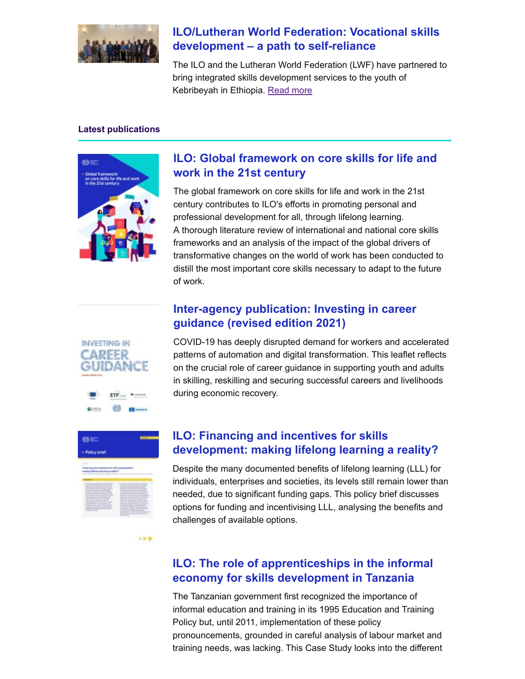

# **[ILO/Lutheran World Federation: Vocational skills](https://eur01.safelinks.protection.outlook.com/?url=http%3A%2F%2Filo.msgfocus.com%2Fc%2F130gi7BQwKkeXpIwSzqxPDg&data=04%7C01%7Cettorre%40iloguest.org%7C8d1ec38c0276483ffb8908d9526ce345%7Cd49b07ca23024e7cb2cbe12127852850%7C0%7C0%7C637631449682227464%7CUnknown%7CTWFpbGZsb3d8eyJWIjoiMC4wLjAwMDAiLCJQIjoiV2luMzIiLCJBTiI6Ik1haWwiLCJXVCI6Mn0%3D%7C1000&sdata=YZFN0SqScdu6kweCt4lZ08mBKkp8zfPosQq7opAm4jA%3D&reserved=0) development – a path to self-reliance**

The ILO and the Lutheran World Federation (LWF) have partnered to bring integrated skills development services to the youth of Kebribeyah in Ethiopia. [Read more](https://eur01.safelinks.protection.outlook.com/?url=http%3A%2F%2Filo.msgfocus.com%2Fc%2F130gidvSdPCithzo3nHH6Fh&data=04%7C01%7Cettorre%40iloguest.org%7C8d1ec38c0276483ffb8908d9526ce345%7Cd49b07ca23024e7cb2cbe12127852850%7C0%7C0%7C637631449682227464%7CUnknown%7CTWFpbGZsb3d8eyJWIjoiMC4wLjAwMDAiLCJQIjoiV2luMzIiLCJBTiI6Ik1haWwiLCJXVCI6Mn0%3D%7C1000&sdata=4hvXlWB4HxX9d12j5xcVRQ4krEY7mW5Y%2Fz65k18I%2BgA%3D&reserved=0)

#### **Latest publications**



# **[ILO: Global framework on core skills for life and](https://eur01.safelinks.protection.outlook.com/?url=http%3A%2F%2Filo.msgfocus.com%2Fc%2F130givdXj5ut0T7XzOx8VLk&data=04%7C01%7Cettorre%40iloguest.org%7C8d1ec38c0276483ffb8908d9526ce345%7Cd49b07ca23024e7cb2cbe12127852850%7C0%7C0%7C637631449682237460%7CUnknown%7CTWFpbGZsb3d8eyJWIjoiMC4wLjAwMDAiLCJQIjoiV2luMzIiLCJBTiI6Ik1haWwiLCJXVCI6Mn0%3D%7C1000&sdata=NwkLYfdOf%2FG4OwcidVX6X8xwCdQ2xz2Q7XCc%2F%2B4RZiQ%3D&reserved=0) work in the 21st century**

The global framework on core skills for life and work in the 21st century contributes to ILO's efforts in promoting personal and professional development for all, through lifelong learning. A thorough literature review of international and national core skills frameworks and an analysis of the impact of the global drivers of transformative changes on the world of work has been conducted to distill the most important core skills necessary to adapt to the future of work.

## **[Inter-agency publication: Investing in career](https://eur01.safelinks.protection.outlook.com/?url=http%3A%2F%2Filo.msgfocus.com%2Fc%2F130giH20Hg4A2CPFVr5rtPm&data=04%7C01%7Cettorre%40iloguest.org%7C8d1ec38c0276483ffb8908d9526ce345%7Cd49b07ca23024e7cb2cbe12127852850%7C0%7C0%7C637631449682247454%7CUnknown%7CTWFpbGZsb3d8eyJWIjoiMC4wLjAwMDAiLCJQIjoiV2luMzIiLCJBTiI6Ik1haWwiLCJXVCI6Mn0%3D%7C1000&sdata=2ryd%2FjjKdUONf8n0adCQkd7z1anBxXvQzjHcrPxmX1k%3D&reserved=0) guidance (revised edition 2021)**



COVID-19 has deeply disrupted demand for workers and accelerated patterns of automation and digital transformation. This leaflet reflects on the crucial role of career guidance in supporting youth and adults in skilling, reskilling and securing successful careers and livelihoods during economic recovery.



 $555$ 

#### **ILO: Financing and incentives for skills [development: making lifelong learning a reality?](https://eur01.safelinks.protection.outlook.com/?url=http%3A%2F%2Filo.msgfocus.com%2Fc%2F130giSQ45qEH4mxoh3DK1To&data=04%7C01%7Cettorre%40iloguest.org%7C8d1ec38c0276483ffb8908d9526ce345%7Cd49b07ca23024e7cb2cbe12127852850%7C0%7C0%7C637631449682267445%7CUnknown%7CTWFpbGZsb3d8eyJWIjoiMC4wLjAwMDAiLCJQIjoiV2luMzIiLCJBTiI6Ik1haWwiLCJXVCI6Mn0%3D%7C1000&sdata=IN1LOGQ2A%2Fx8o3pPLQMEgtdMGy47ReOqa0%2BaIPJgwso%3D&reserved=0)**

Despite the many documented benefits of lifelong learning (LLL) for individuals, enterprises and societies, its levels still remain lower than needed, due to significant funding gaps. This policy brief discusses options for funding and incentivising LLL, analysing the benefits and challenges of available options.

## **[ILO: The role of apprenticeships in the informal](https://eur01.safelinks.protection.outlook.com/?url=http%3A%2F%2Filo.msgfocus.com%2Fc%2F130gj4E7tBeO66f6CGc2zXq&data=04%7C01%7Cettorre%40iloguest.org%7C8d1ec38c0276483ffb8908d9526ce345%7Cd49b07ca23024e7cb2cbe12127852850%7C0%7C0%7C637631449682277435%7CUnknown%7CTWFpbGZsb3d8eyJWIjoiMC4wLjAwMDAiLCJQIjoiV2luMzIiLCJBTiI6Ik1haWwiLCJXVCI6Mn0%3D%7C1000&sdata=3hD3kRGpGGqbgrNfWSlIFIXtyF2SDEtFR%2FesflKlWuA%3D&reserved=0) economy for skills development in Tanzania**

The Tanzanian government first recognized the importance of informal education and training in its 1995 Education and Training Policy but, until 2011, implementation of these policy pronouncements, grounded in careful analysis of labour market and training needs, was lacking. This Case Study looks into the different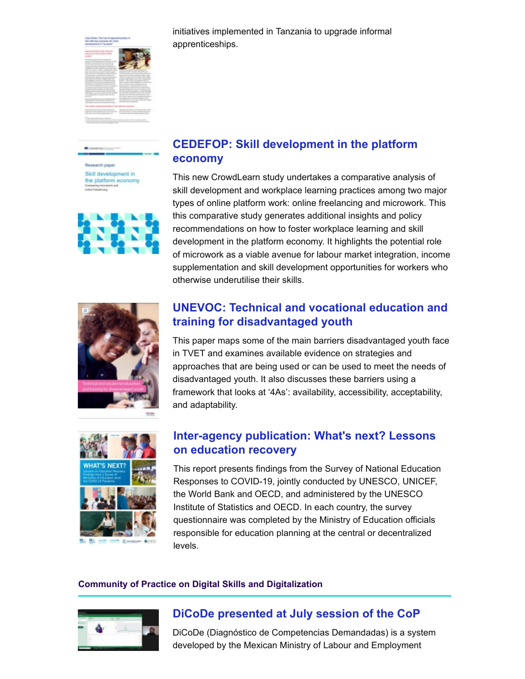

initiatives implemented in Tanzania to upgrade informal apprenticeships.

Research pape Skill development in the platform economy



# **[CEDEFOP: Skill development in the platform](https://eur01.safelinks.protection.outlook.com/?url=http%3A%2F%2Filo.msgfocus.com%2Fc%2F130gjgsaRLOV7PWOYiKl81s&data=04%7C01%7Cettorre%40iloguest.org%7C8d1ec38c0276483ffb8908d9526ce345%7Cd49b07ca23024e7cb2cbe12127852850%7C0%7C0%7C637631449682287431%7CUnknown%7CTWFpbGZsb3d8eyJWIjoiMC4wLjAwMDAiLCJQIjoiV2luMzIiLCJBTiI6Ik1haWwiLCJXVCI6Mn0%3D%7C1000&sdata=cBsWMu0YhvWGkRflG9hec2YGaQphusFNqOJ%2FhNFdQDQ%3D&reserved=0) economy**

This new CrowdLearn study undertakes a comparative analysis of skill development and workplace learning practices among two major types of online platform work: online freelancing and microwork. This this comparative study generates additional insights and policy recommendations on how to foster workplace learning and skill development in the platform economy. It highlights the potential role of microwork as a viable avenue for labour market integration, income supplementation and skill development opportunities for workers who otherwise underutilise their skills.



# **[UNEVOC: Technical and vocational education and](https://eur01.safelinks.protection.outlook.com/?url=http%3A%2F%2Filo.msgfocus.com%2Fc%2F130gjyafX1H5FrvouJzMX7v&data=04%7C01%7Cettorre%40iloguest.org%7C8d1ec38c0276483ffb8908d9526ce345%7Cd49b07ca23024e7cb2cbe12127852850%7C0%7C0%7C637631449682297428%7CUnknown%7CTWFpbGZsb3d8eyJWIjoiMC4wLjAwMDAiLCJQIjoiV2luMzIiLCJBTiI6Ik1haWwiLCJXVCI6Mn0%3D%7C1000&sdata=eMWopD5JFCEdsbdLJswcQri7k5YGbPQxqSfL9WgtEAY%3D&reserved=0) training for disadvantaged youth**

This paper maps some of the main barriers disadvantaged youth face in TVET and examines available evidence on strategies and approaches that are being used or can be used to meet the needs of disadvantaged youth. It also discusses these barriers using a framework that looks at '4As': availability, accessibility, acceptability, and adaptability.



#### **[Inter-agency publication: What's next? Lessons](https://eur01.safelinks.protection.outlook.com/?url=http%3A%2F%2Filo.msgfocus.com%2Fc%2F130gjJYjlchcHbd6Qm85vbx&data=04%7C01%7Cettorre%40iloguest.org%7C8d1ec38c0276483ffb8908d9526ce345%7Cd49b07ca23024e7cb2cbe12127852850%7C0%7C0%7C637631449682307422%7CUnknown%7CTWFpbGZsb3d8eyJWIjoiMC4wLjAwMDAiLCJQIjoiV2luMzIiLCJBTiI6Ik1haWwiLCJXVCI6Mn0%3D%7C1000&sdata=zW01MAnMQta6fEuUhsfPW6gCuoO%2BUDLF8U10bX4Y2mo%3D&reserved=0) on education recovery**

This report presents findings from the Survey of National Education Responses to COVID-19, jointly conducted by UNESCO, UNICEF, the World Bank and OECD, and administered by the UNESCO Institute of Statistics and OECD. In each country, the survey questionnaire was completed by the Ministry of Education officials responsible for education planning at the central or decentralized levels.

#### **Community of Practice on Digital Skills and Digitalization**



# **[DiCoDe presented at July session of the CoP](https://eur01.safelinks.protection.outlook.com/?url=http%3A%2F%2Filo.msgfocus.com%2Fc%2F130gjVMmJmRjIUUPbYGo3fz&data=04%7C01%7Cettorre%40iloguest.org%7C8d1ec38c0276483ffb8908d9526ce345%7Cd49b07ca23024e7cb2cbe12127852850%7C0%7C0%7C637631449682317411%7CUnknown%7CTWFpbGZsb3d8eyJWIjoiMC4wLjAwMDAiLCJQIjoiV2luMzIiLCJBTiI6Ik1haWwiLCJXVCI6Mn0%3D%7C1000&sdata=hQQ35fnD451dx2Y%2F%2FlKAeAkYG6oWtC6wSIs8czEriHQ%3D&reserved=0)**

DiCoDe (Diagnóstico de Competencias Demandadas) is a system developed by the Mexican Ministry of Labour and Employment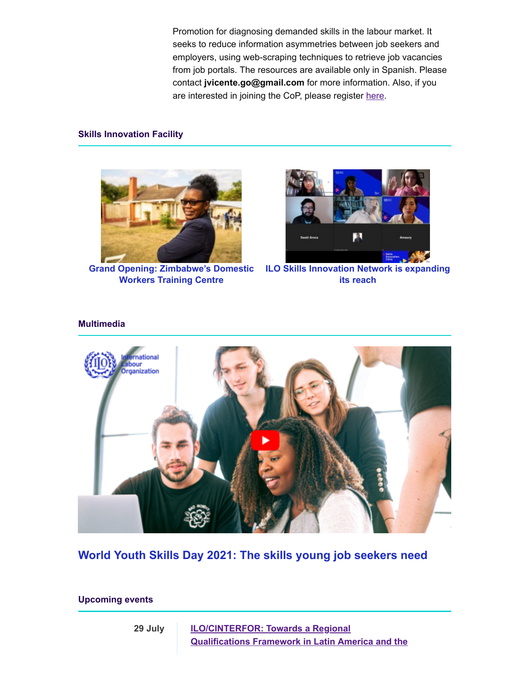Promotion for diagnosing demanded skills in the labour market. It seeks to reduce information asymmetries between job seekers and employers, using web-scraping techniques to retrieve job vacancies from job portals. The resources are available only in Spanish. Please contact **jvicente.go@gmail.com** for more information. Also, if you are interested in joining the CoP, please register [here](https://eur01.safelinks.protection.outlook.com/?url=http%3A%2F%2Filo.msgfocus.com%2Fc%2F130gk1Goqs9neMLGmMXxkhA&data=04%7C01%7Cettorre%40iloguest.org%7C8d1ec38c0276483ffb8908d9526ce345%7Cd49b07ca23024e7cb2cbe12127852850%7C0%7C0%7C637631449682327406%7CUnknown%7CTWFpbGZsb3d8eyJWIjoiMC4wLjAwMDAiLCJQIjoiV2luMzIiLCJBTiI6Ik1haWwiLCJXVCI6Mn0%3D%7C1000&sdata=p7%2Bkxu1ALYDh7N7btSckj6LYE3OpQnIFS7C7SsaiGps%3D&reserved=0).

#### **Skills Innovation Facility**



**[Grand Opening: Zimbabwe's Domestic](https://eur01.safelinks.protection.outlook.com/?url=http%3A%2F%2Filo.msgfocus.com%2Fc%2F130gkdurOCJugwtoIpvPSlC&data=04%7C01%7Cettorre%40iloguest.org%7C8d1ec38c0276483ffb8908d9526ce345%7Cd49b07ca23024e7cb2cbe12127852850%7C0%7C0%7C637631449682337402%7CUnknown%7CTWFpbGZsb3d8eyJWIjoiMC4wLjAwMDAiLCJQIjoiV2luMzIiLCJBTiI6Ik1haWwiLCJXVCI6Mn0%3D%7C1000&sdata=v%2BzcE7SSZ9NokmN3dnLIk8%2Bv0%2Byktk6IjS0PWnu7%2Bjg%3D&reserved=0) Workers Training Centre**



**[ILO Skills Innovation Network is expanding](https://eur01.safelinks.protection.outlook.com/?url=http%3A%2F%2Filo.msgfocus.com%2Fc%2F130gkpivcNjBigb74248qpE&data=04%7C01%7Cettorre%40iloguest.org%7C8d1ec38c0276483ffb8908d9526ce345%7Cd49b07ca23024e7cb2cbe12127852850%7C0%7C0%7C637631449682347398%7CUnknown%7CTWFpbGZsb3d8eyJWIjoiMC4wLjAwMDAiLCJQIjoiV2luMzIiLCJBTiI6Ik1haWwiLCJXVCI6Mn0%3D%7C1000&sdata=4Z1QumSAvPceJV9l1FdzQhgyjuoDkM6gEdMvL0AbHrE%3D&reserved=0) its reach**

#### **Multimedia**



**[World Youth Skills Day 2021: The skills young job seekers need](https://eur01.safelinks.protection.outlook.com/?url=http%3A%2F%2Filo.msgfocus.com%2Fc%2F130gkH0Ai3bLPRJGAsTAfvH&data=04%7C01%7Cettorre%40iloguest.org%7C8d1ec38c0276483ffb8908d9526ce345%7Cd49b07ca23024e7cb2cbe12127852850%7C0%7C0%7C637631449682357389%7CUnknown%7CTWFpbGZsb3d8eyJWIjoiMC4wLjAwMDAiLCJQIjoiV2luMzIiLCJBTiI6Ik1haWwiLCJXVCI6Mn0%3D%7C1000&sdata=dnshmbzWdjI%2B74v4o%2FdLOQ3uAMtn1s754uSr0hD%2FcFQ%3D&reserved=0)**

**Upcoming events**

**29 July ILO/CINTERFOR: Towards a Regional Qualifications Framework in [Latin America and the](https://eur01.safelinks.protection.outlook.com/?url=http%3A%2F%2Filo.msgfocus.com%2Fc%2F130gkMUBZ8tPlJAxLhaJwxI&data=04%7C01%7Cettorre%40iloguest.org%7C8d1ec38c0276483ffb8908d9526ce345%7Cd49b07ca23024e7cb2cbe12127852850%7C0%7C0%7C637631449682367385%7CUnknown%7CTWFpbGZsb3d8eyJWIjoiMC4wLjAwMDAiLCJQIjoiV2luMzIiLCJBTiI6Ik1haWwiLCJXVCI6Mn0%3D%7C1000&sdata=3ycPbunMN9GUkpqq7xmgdLN4ez4Y353ayCOHZE3m1Bc%3D&reserved=0)**